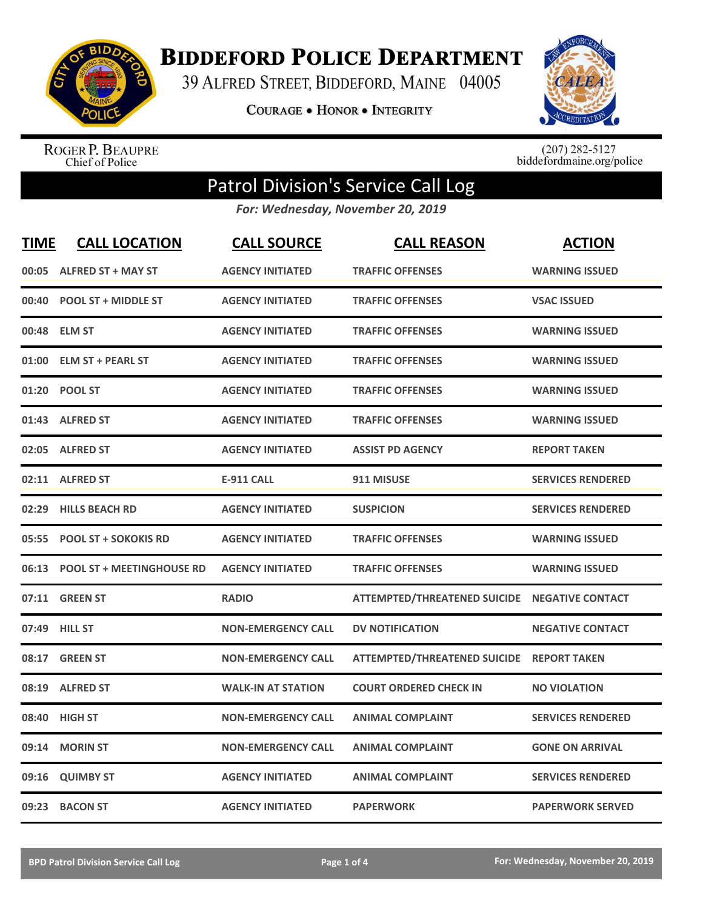

## **BIDDEFORD POLICE DEPARTMENT**

39 ALFRED STREET, BIDDEFORD, MAINE 04005

**COURAGE . HONOR . INTEGRITY** 



ROGER P. BEAUPRE<br>Chief of Police

 $(207)$  282-5127<br>biddefordmaine.org/police

## Patrol Division's Service Call Log

*For: Wednesday, November 20, 2019*

| <b>TIME</b> | <b>CALL LOCATION</b>            | <b>CALL SOURCE</b>        | <b>CALL REASON</b>                  | <b>ACTION</b>            |
|-------------|---------------------------------|---------------------------|-------------------------------------|--------------------------|
| 00:05       | <b>ALFRED ST + MAY ST</b>       | <b>AGENCY INITIATED</b>   | <b>TRAFFIC OFFENSES</b>             | <b>WARNING ISSUED</b>    |
|             | 00:40 POOL ST + MIDDLE ST       | <b>AGENCY INITIATED</b>   | <b>TRAFFIC OFFENSES</b>             | <b>VSAC ISSUED</b>       |
| 00:48       | <b>ELM ST</b>                   | <b>AGENCY INITIATED</b>   | <b>TRAFFIC OFFENSES</b>             | <b>WARNING ISSUED</b>    |
| 01:00       | <b>ELM ST + PEARL ST</b>        | <b>AGENCY INITIATED</b>   | <b>TRAFFIC OFFENSES</b>             | <b>WARNING ISSUED</b>    |
| 01:20       | <b>POOL ST</b>                  | <b>AGENCY INITIATED</b>   | <b>TRAFFIC OFFENSES</b>             | <b>WARNING ISSUED</b>    |
|             | 01:43 ALFRED ST                 | <b>AGENCY INITIATED</b>   | <b>TRAFFIC OFFENSES</b>             | <b>WARNING ISSUED</b>    |
|             | 02:05 ALFRED ST                 | <b>AGENCY INITIATED</b>   | <b>ASSIST PD AGENCY</b>             | <b>REPORT TAKEN</b>      |
|             | 02:11 ALFRED ST                 | <b>E-911 CALL</b>         | 911 MISUSE                          | <b>SERVICES RENDERED</b> |
| 02:29       | <b>HILLS BEACH RD</b>           | <b>AGENCY INITIATED</b>   | <b>SUSPICION</b>                    | <b>SERVICES RENDERED</b> |
| 05:55       | <b>POOL ST + SOKOKIS RD</b>     | <b>AGENCY INITIATED</b>   | <b>TRAFFIC OFFENSES</b>             | <b>WARNING ISSUED</b>    |
|             | 06:13 POOL ST + MEETINGHOUSE RD | <b>AGENCY INITIATED</b>   | <b>TRAFFIC OFFENSES</b>             | <b>WARNING ISSUED</b>    |
| 07:11       | <b>GREEN ST</b>                 | <b>RADIO</b>              | <b>ATTEMPTED/THREATENED SUICIDE</b> | <b>NEGATIVE CONTACT</b>  |
| 07:49       | <b>HILL ST</b>                  | <b>NON-EMERGENCY CALL</b> | <b>DV NOTIFICATION</b>              | <b>NEGATIVE CONTACT</b>  |
| 08:17       | <b>GREEN ST</b>                 | <b>NON-EMERGENCY CALL</b> | <b>ATTEMPTED/THREATENED SUICIDE</b> | <b>REPORT TAKEN</b>      |
| 08:19       | <b>ALFRED ST</b>                | <b>WALK-IN AT STATION</b> | <b>COURT ORDERED CHECK IN</b>       | <b>NO VIOLATION</b>      |
| 08:40       | <b>HIGH ST</b>                  | <b>NON-EMERGENCY CALL</b> | <b>ANIMAL COMPLAINT</b>             | <b>SERVICES RENDERED</b> |
| 09:14       | <b>MORIN ST</b>                 | <b>NON-EMERGENCY CALL</b> | <b>ANIMAL COMPLAINT</b>             | <b>GONE ON ARRIVAL</b>   |
| 09:16       | <b>QUIMBY ST</b>                | <b>AGENCY INITIATED</b>   | <b>ANIMAL COMPLAINT</b>             | <b>SERVICES RENDERED</b> |
|             | 09:23 BACON ST                  | <b>AGENCY INITIATED</b>   | <b>PAPERWORK</b>                    | <b>PAPERWORK SERVED</b>  |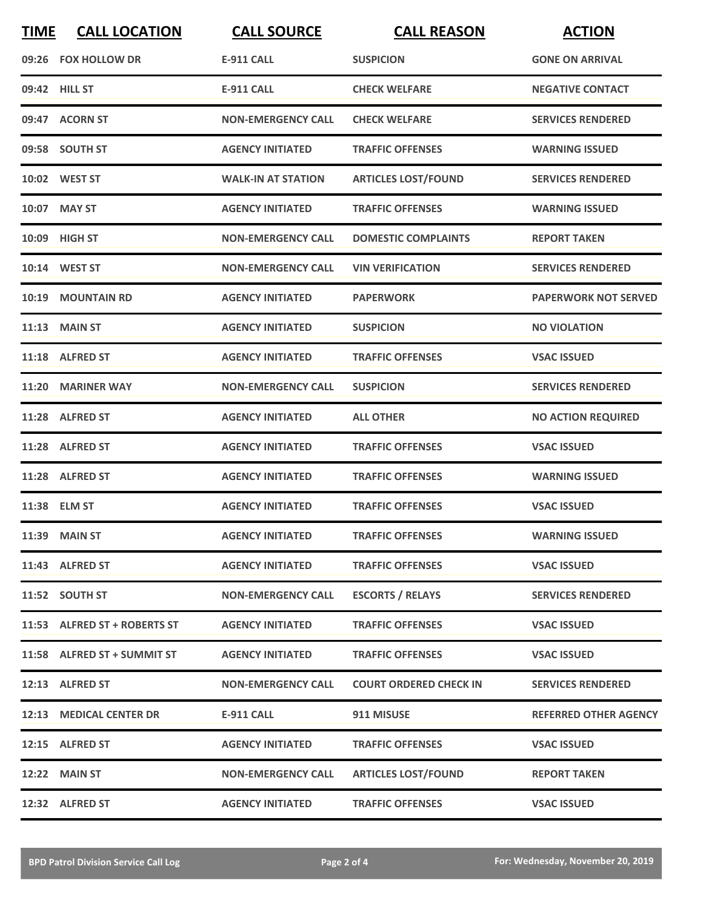| <b>TIME</b> | <b>CALL LOCATION</b>         | <b>CALL SOURCE</b>        | <b>CALL REASON</b>            | <b>ACTION</b>                |
|-------------|------------------------------|---------------------------|-------------------------------|------------------------------|
|             | 09:26 FOX HOLLOW DR          | <b>E-911 CALL</b>         | <b>SUSPICION</b>              | <b>GONE ON ARRIVAL</b>       |
|             | 09:42 HILL ST                | <b>E-911 CALL</b>         | <b>CHECK WELFARE</b>          | <b>NEGATIVE CONTACT</b>      |
|             | 09:47 ACORN ST               | <b>NON-EMERGENCY CALL</b> | <b>CHECK WELFARE</b>          | <b>SERVICES RENDERED</b>     |
|             | 09:58 SOUTH ST               | <b>AGENCY INITIATED</b>   | <b>TRAFFIC OFFENSES</b>       | <b>WARNING ISSUED</b>        |
|             | 10:02 WEST ST                | <b>WALK-IN AT STATION</b> | <b>ARTICLES LOST/FOUND</b>    | <b>SERVICES RENDERED</b>     |
|             | 10:07 MAY ST                 | <b>AGENCY INITIATED</b>   | <b>TRAFFIC OFFENSES</b>       | <b>WARNING ISSUED</b>        |
|             | 10:09 HIGH ST                | <b>NON-EMERGENCY CALL</b> | <b>DOMESTIC COMPLAINTS</b>    | <b>REPORT TAKEN</b>          |
|             | 10:14 WEST ST                | <b>NON-EMERGENCY CALL</b> | <b>VIN VERIFICATION</b>       | <b>SERVICES RENDERED</b>     |
| 10:19       | <b>MOUNTAIN RD</b>           | <b>AGENCY INITIATED</b>   | <b>PAPERWORK</b>              | <b>PAPERWORK NOT SERVED</b>  |
|             | $11:13$ MAIN ST              | <b>AGENCY INITIATED</b>   | <b>SUSPICION</b>              | <b>NO VIOLATION</b>          |
|             | 11:18 ALFRED ST              | <b>AGENCY INITIATED</b>   | <b>TRAFFIC OFFENSES</b>       | <b>VSAC ISSUED</b>           |
| 11:20       | <b>MARINER WAY</b>           | <b>NON-EMERGENCY CALL</b> | <b>SUSPICION</b>              | <b>SERVICES RENDERED</b>     |
|             | 11:28 ALFRED ST              | <b>AGENCY INITIATED</b>   | <b>ALL OTHER</b>              | <b>NO ACTION REQUIRED</b>    |
|             | 11:28 ALFRED ST              | <b>AGENCY INITIATED</b>   | <b>TRAFFIC OFFENSES</b>       | <b>VSAC ISSUED</b>           |
|             | 11:28 ALFRED ST              | <b>AGENCY INITIATED</b>   | <b>TRAFFIC OFFENSES</b>       | <b>WARNING ISSUED</b>        |
|             | 11:38 ELM ST                 | <b>AGENCY INITIATED</b>   | <b>TRAFFIC OFFENSES</b>       | <b>VSAC ISSUED</b>           |
|             | 11:39 MAIN ST                | <b>AGENCY INITIATED</b>   | <b>TRAFFIC OFFENSES</b>       | <b>WARNING ISSUED</b>        |
|             | 11:43 ALFRED ST              | <b>AGENCY INITIATED</b>   | <b>TRAFFIC OFFENSES</b>       | <b>VSAC ISSUED</b>           |
|             | 11:52 SOUTH ST               | <b>NON-EMERGENCY CALL</b> | <b>ESCORTS / RELAYS</b>       | <b>SERVICES RENDERED</b>     |
|             | 11:53 ALFRED ST + ROBERTS ST | <b>AGENCY INITIATED</b>   | <b>TRAFFIC OFFENSES</b>       | <b>VSAC ISSUED</b>           |
|             | 11:58 ALFRED ST + SUMMIT ST  | <b>AGENCY INITIATED</b>   | <b>TRAFFIC OFFENSES</b>       | <b>VSAC ISSUED</b>           |
|             | 12:13 ALFRED ST              | <b>NON-EMERGENCY CALL</b> | <b>COURT ORDERED CHECK IN</b> | <b>SERVICES RENDERED</b>     |
|             | 12:13 MEDICAL CENTER DR      | E-911 CALL                | 911 MISUSE                    | <b>REFERRED OTHER AGENCY</b> |
|             | 12:15 ALFRED ST              | <b>AGENCY INITIATED</b>   | <b>TRAFFIC OFFENSES</b>       | <b>VSAC ISSUED</b>           |
|             | <b>12:22 MAIN ST</b>         | <b>NON-EMERGENCY CALL</b> | <b>ARTICLES LOST/FOUND</b>    | <b>REPORT TAKEN</b>          |
|             | 12:32 ALFRED ST              | <b>AGENCY INITIATED</b>   | <b>TRAFFIC OFFENSES</b>       | <b>VSAC ISSUED</b>           |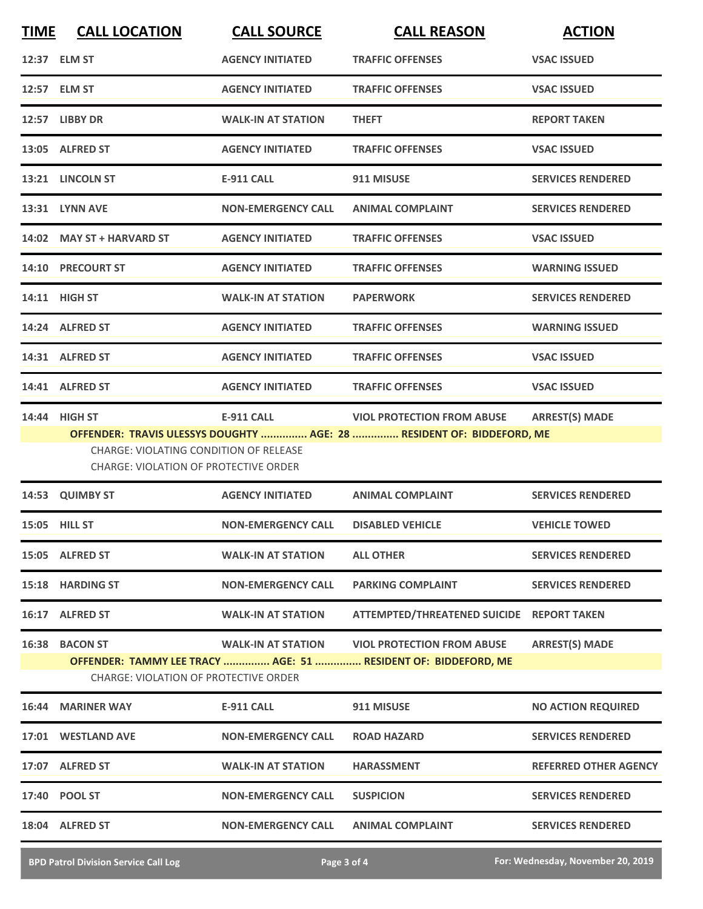| <b>TIME</b> | <b>CALL LOCATION</b>                                                            | <b>CALL SOURCE</b>        | <b>CALL REASON</b>                                                                                  | <b>ACTION</b>                |
|-------------|---------------------------------------------------------------------------------|---------------------------|-----------------------------------------------------------------------------------------------------|------------------------------|
|             | 12:37 ELM ST                                                                    | <b>AGENCY INITIATED</b>   | <b>TRAFFIC OFFENSES</b>                                                                             | <b>VSAC ISSUED</b>           |
|             | 12:57 ELM ST                                                                    | <b>AGENCY INITIATED</b>   | <b>TRAFFIC OFFENSES</b>                                                                             | <b>VSAC ISSUED</b>           |
|             | 12:57 LIBBY DR                                                                  | <b>WALK-IN AT STATION</b> | <b>THEFT</b>                                                                                        | <b>REPORT TAKEN</b>          |
|             | 13:05 ALFRED ST                                                                 | <b>AGENCY INITIATED</b>   | <b>TRAFFIC OFFENSES</b>                                                                             | <b>VSAC ISSUED</b>           |
|             | 13:21 LINCOLN ST                                                                | <b>E-911 CALL</b>         | 911 MISUSE                                                                                          | <b>SERVICES RENDERED</b>     |
|             | 13:31 LYNN AVE                                                                  | <b>NON-EMERGENCY CALL</b> | <b>ANIMAL COMPLAINT</b>                                                                             | <b>SERVICES RENDERED</b>     |
|             | 14:02 MAY ST + HARVARD ST                                                       | <b>AGENCY INITIATED</b>   | <b>TRAFFIC OFFENSES</b>                                                                             | <b>VSAC ISSUED</b>           |
|             | 14:10 PRECOURT ST                                                               | <b>AGENCY INITIATED</b>   | <b>TRAFFIC OFFENSES</b>                                                                             | <b>WARNING ISSUED</b>        |
|             | 14:11 HIGH ST                                                                   | <b>WALK-IN AT STATION</b> | <b>PAPERWORK</b>                                                                                    | <b>SERVICES RENDERED</b>     |
|             | 14:24 ALFRED ST                                                                 | <b>AGENCY INITIATED</b>   | <b>TRAFFIC OFFENSES</b>                                                                             | <b>WARNING ISSUED</b>        |
|             | 14:31 ALFRED ST                                                                 | <b>AGENCY INITIATED</b>   | <b>TRAFFIC OFFENSES</b>                                                                             | <b>VSAC ISSUED</b>           |
|             | 14:41 ALFRED ST                                                                 | <b>AGENCY INITIATED</b>   | <b>TRAFFIC OFFENSES</b>                                                                             | <b>VSAC ISSUED</b>           |
|             | 14:44 HIGH ST                                                                   | <b>E-911 CALL</b>         | <b>VIOL PROTECTION FROM ABUSE</b>                                                                   | <b>ARREST(S) MADE</b>        |
|             | CHARGE: VIOLATING CONDITION OF RELEASE<br>CHARGE: VIOLATION OF PROTECTIVE ORDER |                           | OFFENDER: TRAVIS ULESSYS DOUGHTY  AGE: 28  RESIDENT OF: BIDDEFORD, ME                               |                              |
|             | 14:53 QUIMBY ST                                                                 | <b>AGENCY INITIATED</b>   | <b>ANIMAL COMPLAINT</b>                                                                             | <b>SERVICES RENDERED</b>     |
|             | 15:05 HILL ST                                                                   | <b>NON-EMERGENCY CALL</b> | <b>DISABLED VEHICLE</b>                                                                             | <b>VEHICLE TOWED</b>         |
|             | 15:05 ALFRED ST                                                                 | <b>WALK-IN AT STATION</b> | <b>ALL OTHER</b>                                                                                    | <b>SERVICES RENDERED</b>     |
|             | 15:18 HARDING ST                                                                | <b>NON-EMERGENCY CALL</b> | <b>PARKING COMPLAINT</b>                                                                            | <b>SERVICES RENDERED</b>     |
|             | 16:17 ALFRED ST                                                                 | <b>WALK-IN AT STATION</b> | ATTEMPTED/THREATENED SUICIDE REPORT TAKEN                                                           |                              |
|             | 16:38 BACON ST<br><b>CHARGE: VIOLATION OF PROTECTIVE ORDER</b>                  | <b>WALK-IN AT STATION</b> | <b>VIOL PROTECTION FROM ABUSE</b><br>OFFENDER: TAMMY LEE TRACY  AGE: 51  RESIDENT OF: BIDDEFORD, ME | <b>ARREST(S) MADE</b>        |
|             | 16:44 MARINER WAY                                                               | <b>E-911 CALL</b>         | 911 MISUSE                                                                                          | <b>NO ACTION REQUIRED</b>    |
|             | 17:01 WESTLAND AVE                                                              | <b>NON-EMERGENCY CALL</b> | <b>ROAD HAZARD</b>                                                                                  | <b>SERVICES RENDERED</b>     |
|             | 17:07 ALFRED ST                                                                 | <b>WALK-IN AT STATION</b> | <b>HARASSMENT</b>                                                                                   | <b>REFERRED OTHER AGENCY</b> |
|             | 17:40 POOL ST                                                                   | <b>NON-EMERGENCY CALL</b> | <b>SUSPICION</b>                                                                                    | <b>SERVICES RENDERED</b>     |
|             | 18:04 ALFRED ST                                                                 | <b>NON-EMERGENCY CALL</b> | <b>ANIMAL COMPLAINT</b>                                                                             | <b>SERVICES RENDERED</b>     |
|             |                                                                                 |                           |                                                                                                     |                              |

**BPD Patrol Division Service Call Log Page 3 of 4 For: Wednesday, November 20, 2019**